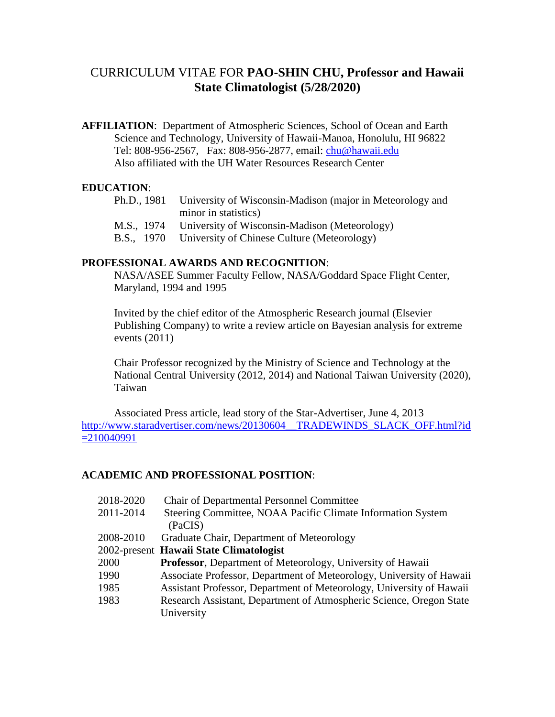# CURRICULUM VITAE FOR **PAO-SHIN CHU, Professor and Hawaii State Climatologist (5/28/2020)**

**AFFILIATION**: Department of Atmospheric Sciences, School of Ocean and Earth Science and Technology, University of Hawaii-Manoa, Honolulu, HI 96822 Tel: 808-956-2567, Fax: 808-956-2877, email: [chu@hawaii.edu](mailto:chu@hawaii.edu) Also affiliated with the UH Water Resources Research Center

### **EDUCATION**:

| Ph.D., 1981 University of Wisconsin-Madison (major in Meteorology and |
|-----------------------------------------------------------------------|
| minor in statistics)                                                  |
| M.S., 1974 University of Wisconsin-Madison (Meteorology)              |

B.S., 1970 University of Chinese Culture (Meteorology)

#### **PROFESSIONAL AWARDS AND RECOGNITION**:

NASA/ASEE Summer Faculty Fellow, NASA/Goddard Space Flight Center, Maryland, 1994 and 1995

Invited by the chief editor of the Atmospheric Research journal (Elsevier Publishing Company) to write a review article on Bayesian analysis for extreme events (2011)

Chair Professor recognized by the Ministry of Science and Technology at the National Central University (2012, 2014) and National Taiwan University (2020), Taiwan

 Associated Press article, lead story of the Star-Advertiser, June 4, 2013 http://www.staradvertiser.com/news/20130604 TRADEWINDS SLACK OFF.html?id [=210040991](http://www.staradvertiser.com/news/20130604__TRADEWINDS_SLACK_OFF.html?id=210040991)

### **ACADEMIC AND PROFESSIONAL POSITION**:

| 2018-2020 | <b>Chair of Departmental Personnel Committee</b>                     |
|-----------|----------------------------------------------------------------------|
| 2011-2014 | Steering Committee, NOAA Pacific Climate Information System          |
|           | (PaCIS)                                                              |
| 2008-2010 | Graduate Chair, Department of Meteorology                            |
|           | 2002-present Hawaii State Climatologist                              |
| 2000      | Professor, Department of Meteorology, University of Hawaii           |
| 1990      | Associate Professor, Department of Meteorology, University of Hawaii |
| 1985      | Assistant Professor, Department of Meteorology, University of Hawaii |
| 1983      | Research Assistant, Department of Atmospheric Science, Oregon State  |
|           | University                                                           |
|           |                                                                      |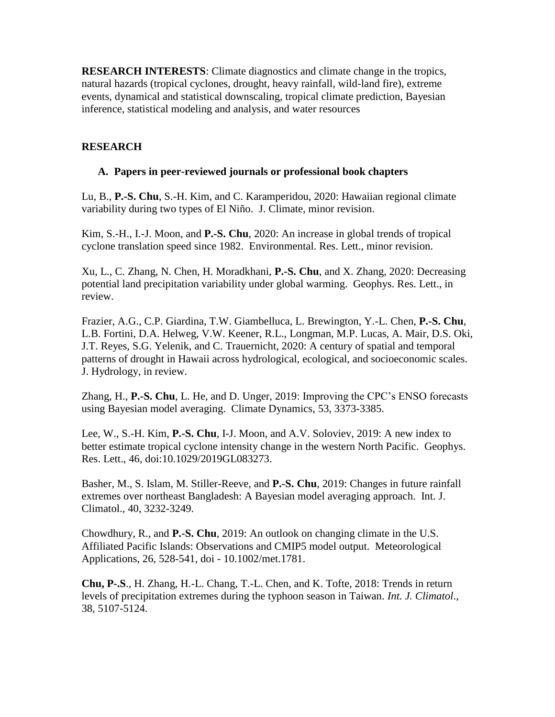**RESEARCH INTERESTS**: Climate diagnostics and climate change in the tropics, natural hazards (tropical cyclones, drought, heavy rainfall, wild-land fire), extreme events, dynamical and statistical downscaling, tropical climate prediction, Bayesian inference, statistical modeling and analysis, and water resources

## **RESEARCH**

### **A. Papers in peer-reviewed journals or professional book chapters**

Lu, B., **P.-S. Chu**, S.-H. Kim, and C. Karamperidou, 2020: Hawaiian regional climate variability during two types of El Niño. J. Climate, minor revision.

Kim, S.-H., I.-J. Moon, and **P.-S. Chu**, 2020: An increase in global trends of tropical cyclone translation speed since 1982. Environmental. Res. Lett., minor revision.

Xu, L., C. Zhang, N. Chen, H. Moradkhani, **P.-S. Chu**, and X. Zhang, 2020: Decreasing potential land precipitation variability under global warming. Geophys. Res. Lett., in review.

Frazier, A.G., C.P. Giardina, T.W. Giambelluca, L. Brewington, Y.-L. Chen, **P.-S. Chu**, L.B. Fortini, D.A. Helweg, V.W. Keener, R.L., Longman, M.P. Lucas, A. Mair, D.S. Oki, J.T. Reyes, S.G. Yelenik, and C. Trauernicht, 2020: A century of spatial and temporal patterns of drought in Hawaii across hydrological, ecological, and socioeconomic scales. J. Hydrology, in review.

Zhang, H., **P.-S. Chu**, L. He, and D. Unger, 2019: Improving the CPC's ENSO forecasts using Bayesian model averaging. Climate Dynamics, 53, 3373-3385.

Lee, W., S.-H. Kim, **P.-S. Chu**, I-J. Moon, and A.V. Soloviev, 2019: A new index to better estimate tropical cyclone intensity change in the western North Pacific. Geophys. Res. Lett., 46, doi:10.1029/2019GL083273.

Basher, M., S. Islam, M. Stiller-Reeve, and **P.-S. Chu**, 2019: Changes in future rainfall extremes over northeast Bangladesh: A Bayesian model averaging approach. Int. J. Climatol., 40, 3232-3249.

Chowdhury, R., and **P.-S. Chu**, 2019: An outlook on changing climate in the U.S. Affiliated Pacific Islands: Observations and CMIP5 model output. Meteorological Applications, 26, 528-541, doi - 10.1002/met.1781.

**Chu, P-.S**., H. Zhang, H.-L. Chang, T.-L. Chen, and K. Tofte, 2018: Trends in return levels of precipitation extremes during the typhoon season in Taiwan. *Int. J. Climatol*., 38, 5107-5124.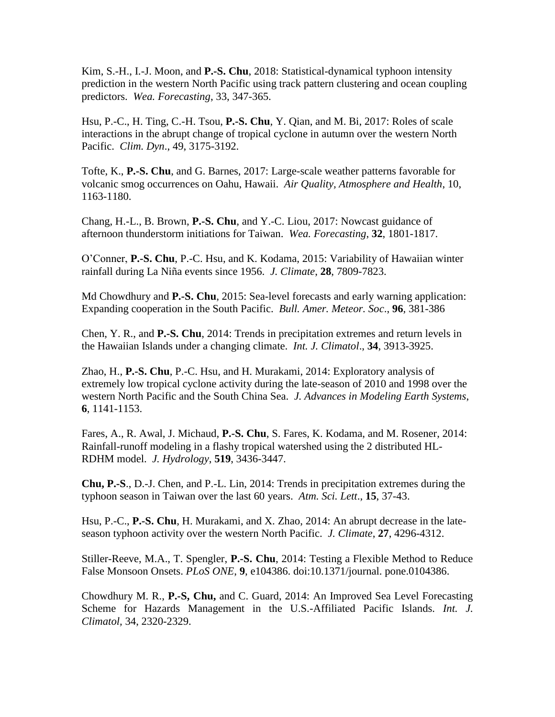Kim, S.-H., I.-J. Moon, and **P.-S. Chu**, 2018: Statistical-dynamical typhoon intensity prediction in the western North Pacific using track pattern clustering and ocean coupling predictors. *Wea. Forecasting*, 33, 347-365.

Hsu, P.-C., H. Ting, C.-H. Tsou, **P.-S. Chu**, Y. Qian, and M. Bi, 2017: Roles of scale interactions in the abrupt change of tropical cyclone in autumn over the western North Pacific. *Clim. Dyn*., 49, 3175-3192.

Tofte, K., **P.-S. Chu**, and G. Barnes, 2017: Large-scale weather patterns favorable for volcanic smog occurrences on Oahu, Hawaii. *Air Quality, Atmosphere and Health*, 10, 1163-1180.

Chang, H.-L., B. Brown, **P.-S. Chu**, and Y.-C. Liou, 2017: Nowcast guidance of afternoon thunderstorm initiations for Taiwan. *Wea. Forecasting*, **32**, 1801-1817.

O'Conner, **P.-S. Chu**, P.-C. Hsu, and K. Kodama, 2015: Variability of Hawaiian winter rainfall during La Niña events since 1956. *J. Climate*, **28**, 7809-7823.

Md Chowdhury and **P.-S. Chu**, 2015: Sea-level forecasts and early warning application: Expanding cooperation in the South Pacific. *Bull. Amer. Meteor. Soc*., **96**, 381-386

Chen, Y. R., and **P.-S. Chu**, 2014: Trends in precipitation extremes and return levels in the Hawaiian Islands under a changing climate. *Int. J. Climatol*., **34**, 3913-3925.

Zhao, H., **P.-S. Chu**, P.-C. Hsu, and H. Murakami, 2014: Exploratory analysis of extremely low tropical cyclone activity during the late-season of 2010 and 1998 over the western North Pacific and the South China Sea. *J. Advances in Modeling Earth Systems*, **6**, 1141-1153.

Fares, A., R. Awal, J. Michaud, **P.-S. Chu**, S. Fares, K. Kodama, and M. Rosener, 2014: Rainfall-runoff modeling in a flashy tropical watershed using the 2 distributed HL-RDHM model. *J. Hydrology*, **519**, 3436-3447.

**Chu, P.-S**., D.-J. Chen, and P.-L. Lin, 2014: Trends in precipitation extremes during the typhoon season in Taiwan over the last 60 years. *Atm. Sci. Lett*., **15**, 37-43.

Hsu, P.-C., **P.-S. Chu**, H. Murakami, and X. Zhao, 2014: An abrupt decrease in the lateseason typhoon activity over the western North Pacific. *J. Climate*, **27**, 4296-4312.

Stiller-Reeve, M.A., T. Spengler, **P.-S. Chu**[, 2014: Testing a Flexible Method to Reduce](http://www.soest.hawaii.edu/MET/Hsco/publications/2014.2.pdf)  False Monsoon Onsets. *PLoS ONE*, **9**[, e104386. doi:10.1371/journal. pone.0104386.](http://www.soest.hawaii.edu/MET/Hsco/publications/2014.2.pdf)

Chowdhury M. R., **P.-S, Chu,** and C. Guard, 2014: An Improved Sea Level Forecasting Scheme for Hazards Management in the U.S.-Affiliated Pacific Islands. *Int. J. Climatol,* 34, 2320-2329.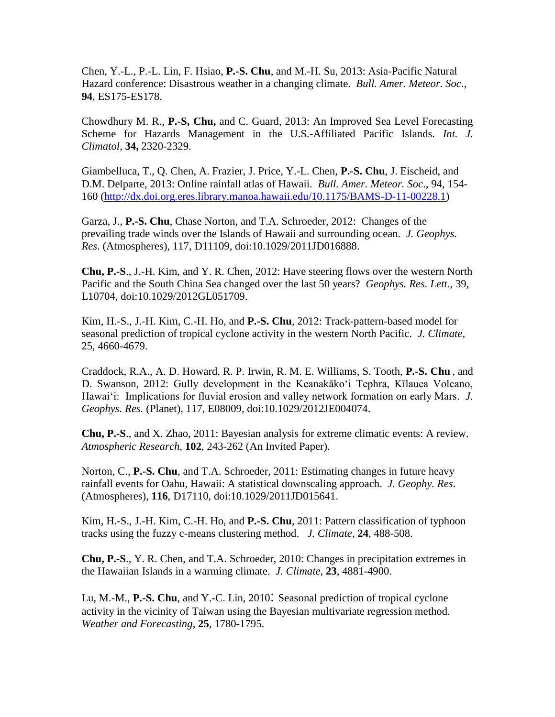Chen, Y.-L., P.-L. Lin, F. Hsiao, **P.-S. Chu**, and M.-H. Su, 2013: Asia-Pacific Natural Hazard conference: Disastrous weather in a changing climate. *Bull. Amer. Meteor. Soc*., **94**, ES175-ES178.

Chowdhury M. R., **P.-S, Chu,** and C. Guard, 2013: An Improved Sea Level Forecasting Scheme for Hazards Management in the U.S.-Affiliated Pacific Islands. *Int. J. Climatol*, **34,** 2320-2329.

Giambelluca, T., Q. Chen, A. Frazier, J. Price, Y.-L. Chen, **P.-S. Chu**, J. Eischeid, and D.M. Delparte, 2013: Online rainfall atlas of Hawaii. *Bull. Amer. Meteor. Soc*., 94, 154- 160 [\(http://dx.doi.org.eres.library.manoa.hawaii.edu/10.1175/BAMS-D-11-00228.1\)](http://dx.doi.org.eres.library.manoa.hawaii.edu/10.1175/BAMS-D-11-00228.1)

Garza, J., **P.-S. Chu**, Chase Norton, and T.A. Schroeder, 2012: Changes of the prevailing trade winds over the Islands of Hawaii and surrounding ocean. *J. Geophys. Res*. (Atmospheres), 117, D11109, doi:10.1029/2011JD016888.

**Chu, P.-S**., J.-H. Kim, and Y. R. Chen, 2012: Have steering flows over the western North Pacific and the South China Sea changed over the last 50 years? *Geophys. Res. Lett*., 39, L10704, doi:10.1029/2012GL051709.

Kim, H.-S., J.-H. Kim, C.-H. Ho, and **P.-S. Chu**, 2012: Track-pattern-based model for seasonal prediction of tropical cyclone activity in the western North Pacific. *J. Climate*, 25, 4660-4679.

Craddock, R.A., A. D. Howard, R. P. Irwin, R. M. E. Williams, S. Tooth, **P.-S. Chu** , and D. Swanson, 2012: Gully development in the Keanakāko'i Tephra, Kīlauea Volcano, Hawai'i: Implications for fluvial erosion and valley network formation on early Mars. *J. Geophys. Res.* (Planet), 117, E08009, doi:10.1029/2012JE004074.

**Chu, P.-S**., and X. Zhao, 2011: Bayesian analysis for extreme climatic events: A review. *Atmospheric Research*, **102**, 243-262 (An Invited Paper).

Norton, C., **P.-S. Chu**, and T.A. Schroeder, 2011: Estimating changes in future heavy rainfall events for Oahu, Hawaii: A statistical downscaling approach. *J. Geophy. Res*. (Atmospheres), **116**, D17110, doi:10.1029/2011JD015641.

Kim, H.-S., J.-H. Kim, C.-H. Ho, and **P.-S. Chu**, 2011: Pattern classification of typhoon tracks using the fuzzy c-means clustering method. *J. Climate*, **24**, 488-508.

**Chu, P.-S**., Y. R. Chen, and T.A. Schroeder, 2010: Changes in precipitation extremes in the Hawaiian Islands in a warming climate. *J. Climate*, **23**, 4881-4900.

Lu, M.-M., **P.-S. Chu**, and Y.-C. Lin, 2010: Seasonal prediction of tropical cyclone activity in the vicinity of Taiwan using the Bayesian multivariate regression method. *Weather and Forecasting*, **25**, 1780-1795.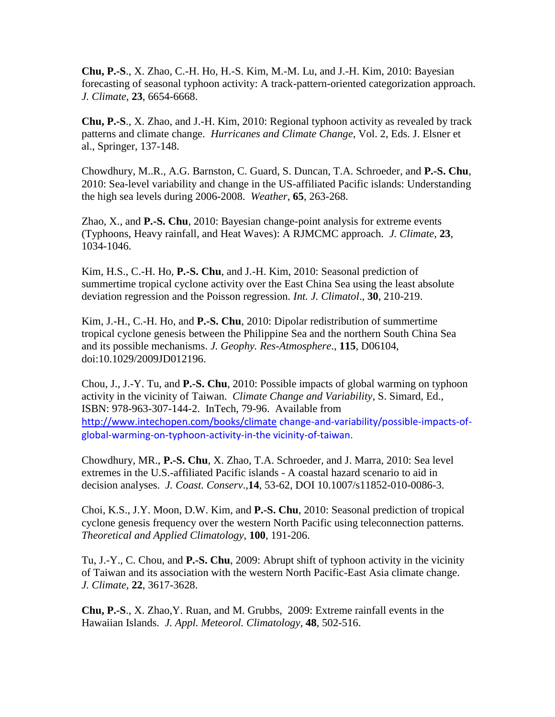**Chu, P.-S**., X. Zhao, C.-H. Ho, H.-S. Kim, M.-M. Lu, and J.-H. Kim, 2010: Bayesian forecasting of seasonal typhoon activity: A track-pattern-oriented categorization approach. *J. Climate*, **23**, 6654-6668.

**Chu, P.-S**., X. Zhao, and J.-H. Kim, 2010: Regional typhoon activity as revealed by track patterns and climate change. *Hurricanes and Climate Change*, Vol. 2, Eds. J. Elsner et al., Springer, 137-148.

Chowdhury, M..R., A.G. Barnston, C. Guard, S. Duncan, T.A. Schroeder, and **P.-S. Chu**, 2010: Sea-level variability and change in the US-affiliated Pacific islands: Understanding the high sea levels during 2006-2008. *Weather*, **65**, 263-268.

Zhao, X., and **P.-S. Chu**, 2010: Bayesian change-point analysis for extreme events (Typhoons, Heavy rainfall, and Heat Waves): A RJMCMC approach. *J. Climate*, **23**, 1034-1046.

Kim, H.S., C.-H. Ho, **P.-S. Chu**, and J.-H. Kim, 2010: Seasonal prediction of summertime tropical cyclone activity over the East China Sea using the least absolute deviation regression and the Poisson regression. *Int. J. Climatol*., **30**, 210-219.

Kim, J.-H., C.-H. Ho, and **P.-S. Chu**, 2010: Dipolar redistribution of summertime tropical cyclone genesis between the Philippine Sea and the northern South China Sea and its possible mechanisms. *J. Geophy. Res-Atmosphere*., **115**, D06104, doi:10.1029/2009JD012196.

Chou, J., J.-Y. Tu, and **P.-S. Chu**, 2010: Possible impacts of global warming on typhoon activity in the vicinity of Taiwan. *Climate Change and Variability*, S. Simard, Ed., ISBN: 978-963-307-144-2. InTech, 79-96. Available from <http://www.intechopen.com/books/climate> change-and-variability/possible-impacts-ofglobal-warming-on-typhoon-activity-in-the vicinity-of-taiwan.

Chowdhury, MR., **P.-S. Chu**, X. Zhao, T.A. Schroeder, and J. Marra, 2010: Sea level extremes in the U.S.-affiliated Pacific islands - A coastal hazard scenario to aid in decision analyses. *J. Coast. Conserv*.,**14**, 53-62, DOI 10.1007/s11852-010-0086-3.

Choi, K.S., J.Y. Moon, D.W. Kim, and **P.-S. Chu**, 2010: Seasonal prediction of tropical cyclone genesis frequency over the western North Pacific using teleconnection patterns. *Theoretical and Applied Climatology*, **100**, 191-206.

Tu, J.-Y., C. Chou, and **P.-S. Chu**, 2009: Abrupt shift of typhoon activity in the vicinity of Taiwan and its association with the western North Pacific-East Asia climate change. *J. Climate*, **22**, 3617-3628.

**Chu, P.-S**., X. Zhao,Y. Ruan, and M. Grubbs, 2009: Extreme rainfall events in the Hawaiian Islands. *J. Appl. Meteorol. Climatology*, **48**, 502-516.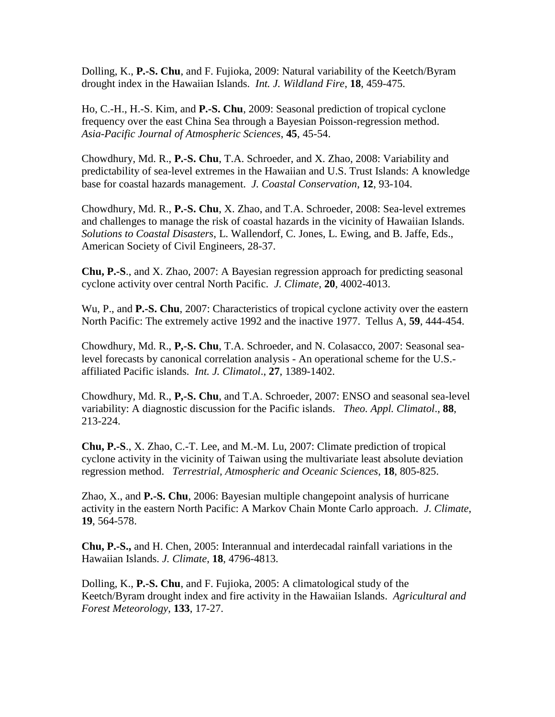Dolling, K., **P.-S. Chu**, and F. Fujioka, 2009: Natural variability of the Keetch/Byram drought index in the Hawaiian Islands. *Int. J. Wildland Fire*, **18**, 459-475.

Ho, C.-H., H.-S. Kim, and **P.-S. Chu**, 2009: Seasonal prediction of tropical cyclone frequency over the east China Sea through a Bayesian Poisson-regression method. *Asia-Pacific Journal of Atmospheric Sciences*, **45**, 45-54.

Chowdhury, Md. R., **P.-S. Chu**, T.A. Schroeder, and X. Zhao, 2008: Variability and predictability of sea-level extremes in the Hawaiian and U.S. Trust Islands: A knowledge base for coastal hazards management. *J. Coastal Conservation*, **12**, 93-104.

Chowdhury, Md. R., **P.-S. Chu**, X. Zhao, and T.A. Schroeder, 2008: Sea-level extremes and challenges to manage the risk of coastal hazards in the vicinity of Hawaiian Islands. *Solutions to Coastal Disasters*, L. Wallendorf, C. Jones, L. Ewing, and B. Jaffe, Eds., American Society of Civil Engineers, 28-37.

**Chu, P.-S**., and X. Zhao, 2007: A Bayesian regression approach for predicting seasonal cyclone activity over central North Pacific. *J. Climate*, **20**, 4002-4013.

Wu, P., and **P.-S. Chu**, 2007: Characteristics of tropical cyclone activity over the eastern North Pacific: The extremely active 1992 and the inactive 1977. Tellus A, **59**, 444-454.

Chowdhury, Md. R., **P,-S. Chu**, T.A. Schroeder, and N. Colasacco, 2007: Seasonal sealevel forecasts by canonical correlation analysis - An operational scheme for the U.S. affiliated Pacific islands. *Int. J. Climatol*., **27**, 1389-1402.

Chowdhury, Md. R., **P,-S. Chu**, and T.A. Schroeder, 2007: ENSO and seasonal sea-level variability: A diagnostic discussion for the Pacific islands. *Theo. Appl. Climatol*., **88**, 213-224.

**Chu, P.-S**., X. Zhao, C.-T. Lee, and M.-M. Lu, 2007: Climate prediction of tropical cyclone activity in the vicinity of Taiwan using the multivariate least absolute deviation regression method. *Terrestrial, Atmospheric and Oceanic Sciences*, **18**, 805-825.

Zhao, X., and **P.-S. Chu**, 2006: Bayesian multiple changepoint analysis of hurricane activity in the eastern North Pacific: A Markov Chain Monte Carlo approach. *J. Climate*, **19**, 564-578.

**Chu, P.-S.,** and H. Chen, 2005: Interannual and interdecadal rainfall variations in the Hawaiian Islands. *J. Climate*, **18**, 4796-4813.

Dolling, K., **P.-S. Chu**, and F. Fujioka, 2005: A climatological study of the Keetch/Byram drought index and fire activity in the Hawaiian Islands. *Agricultural and Forest Meteorology*, **133**, 17-27.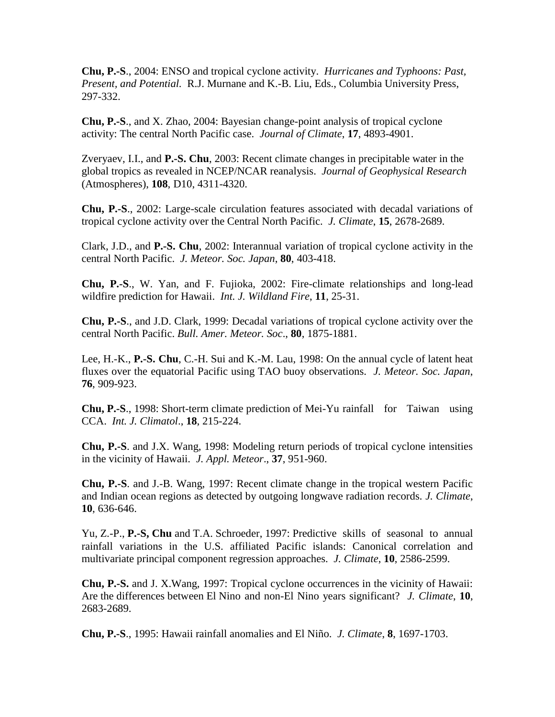**Chu, P.-S**., 2004: ENSO and tropical cyclone activity. *Hurricanes and Typhoons: Past, Present, and Potential.* R.J. Murnane and K.-B. Liu, Eds., Columbia University Press, 297-332.

**Chu, P.-S**., and X. Zhao, 2004: Bayesian change-point analysis of tropical cyclone activity: The central North Pacific case. *Journal of Climate*, **17**, 4893-4901.

Zveryaev, I.I., and **P.-S. Chu**, 2003: Recent climate changes in precipitable water in the global tropics as revealed in NCEP/NCAR reanalysis. *Journal of Geophysical Research* (Atmospheres), **108**, D10, 4311-4320.

**Chu, P.-S**., 2002: Large-scale circulation features associated with decadal variations of tropical cyclone activity over the Central North Pacific. *J. Climate*, **15**, 2678-2689.

Clark, J.D., and **P.-S. Chu**, 2002: Interannual variation of tropical cyclone activity in the central North Pacific. *J. Meteor. Soc. Japan*, **80**, 403-418.

**Chu, P.-S**., W. Yan, and F. Fujioka, 2002: Fire-climate relationships and long-lead wildfire prediction for Hawaii. *Int. J. Wildland Fire*, **11**, 25-31.

**Chu, P.-S**., and J.D. Clark, 1999: Decadal variations of tropical cyclone activity over the central North Pacific. *Bull. Amer. Meteor. Soc*., **80**, 1875-1881.

Lee, H.-K., **P.-S. Chu**, C.-H. Sui and K.-M. Lau, 1998: On the annual cycle of latent heat fluxes over the equatorial Pacific using TAO buoy observations. *J. Meteor. Soc. Japan*, **76**, 909-923.

**Chu, P.-S**., 1998: Short-term climate prediction of Mei-Yu rainfall for Taiwan using CCA. *Int. J. Climatol*., **18**, 215-224.

**Chu, P.-S**. and J.X. Wang, 1998: Modeling return periods of tropical cyclone intensities in the vicinity of Hawaii. *J. Appl. Meteor*., **37**, 951-960.

**Chu, P.-S**. and J.-B. Wang, 1997: Recent climate change in the tropical western Pacific and Indian ocean regions as detected by outgoing longwave radiation records. *J. Climate*, **10**, 636-646.

Yu, Z.-P., **P.-S, Chu** and T.A. Schroeder, 1997: Predictive skills of seasonal to annual rainfall variations in the U.S. affiliated Pacific islands: Canonical correlation and multivariate principal component regression approaches. *J. Climate*, **10**, 2586-2599.

**Chu, P.-S.** and J. X.Wang, 1997: Tropical cyclone occurrences in the vicinity of Hawaii: Are the differences between El Nino and non-El Nino years significant? *J. Climate*, **10**, 2683-2689.

**Chu, P.-S**., 1995: Hawaii rainfall anomalies and El Niño. *J. Climate*, **8**, 1697-1703.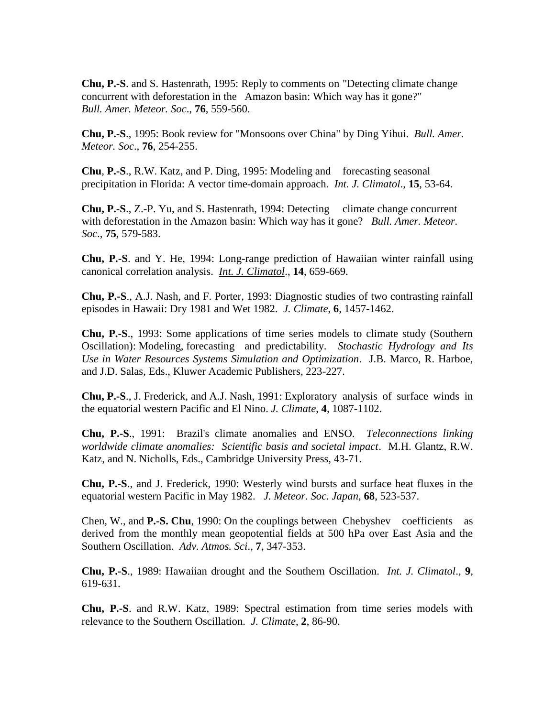**Chu, P.-S**. and S. Hastenrath, 1995: Reply to comments on "Detecting climate change concurrent with deforestation in the Amazon basin: Which way has it gone?" *Bull. Amer. Meteor. Soc*., **76**, 559-560.

**Chu, P.-S**., 1995: Book review for "Monsoons over China" by Ding Yihui. *Bull. Amer. Meteor. Soc*., **76**, 254-255.

**Chu**, **P.-S**., R.W. Katz, and P. Ding, 1995: Modeling and forecasting seasonal precipitation in Florida: A vector time-domain approach. *Int. J. Climatol*., **15**, 53-64.

**Chu, P.-S., Z.-P. Yu, and S. Hastenrath, 1994: Detecting climate change concurrent** with deforestation in the Amazon basin: Which way has it gone? *Bull. Amer. Meteor. Soc*., **75**, 579-583.

**Chu, P.-S**. and Y. He, 1994: Long-range prediction of Hawaiian winter rainfall using canonical correlation analysis. *Int. J. Climatol*., **14**, 659-669.

**Chu, P.-S**., A.J. Nash, and F. Porter, 1993: Diagnostic studies of two contrasting rainfall episodes in Hawaii: Dry 1981 and Wet 1982. *J. Climate*, **6**, 1457-1462.

**Chu, P.-S**., 1993: Some applications of time series models to climate study (Southern Oscillation): Modeling, forecasting and predictability. *Stochastic Hydrology and Its Use in Water Resources Systems Simulation and Optimization*. J.B. Marco, R. Harboe, and J.D. Salas, Eds., Kluwer Academic Publishers, 223-227.

**Chu, P.-S**., J. Frederick, and A.J. Nash, 1991: Exploratory analysis of surface winds in the equatorial western Pacific and El Nino. *J. Climate*, **4**, 1087-1102.

**Chu, P.-S**., 1991: Brazil's climate anomalies and ENSO. *Teleconnections linking worldwide climate anomalies: Scientific basis and societal impact*. M.H. Glantz, R.W. Katz, and N. Nicholls, Eds., Cambridge University Press, 43-71.

**Chu, P.-S**., and J. Frederick, 1990: Westerly wind bursts and surface heat fluxes in the equatorial western Pacific in May 1982. *J. Meteor. Soc. Japan*, **68**, 523-537.

Chen, W., and **P.-S. Chu**, 1990: On the couplings between Chebyshev coefficients as derived from the monthly mean geopotential fields at 500 hPa over East Asia and the Southern Oscillation. *Adv. Atmos. Sci*., **7**, 347-353.

**Chu, P.-S**., 1989: Hawaiian drought and the Southern Oscillation. *Int. J. Climatol*., **9**, 619-631.

**Chu, P.-S**. and R.W. Katz, 1989: Spectral estimation from time series models with relevance to the Southern Oscillation. *J. Climate*, **2**, 86-90.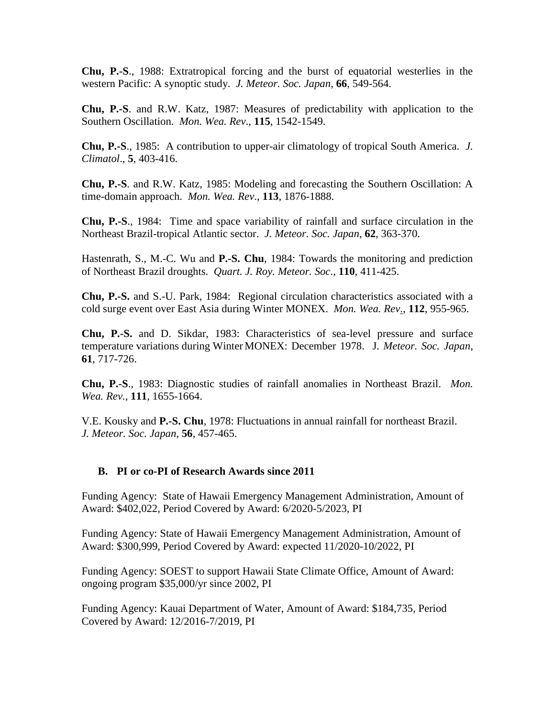**Chu, P.-S**., 1988: Extratropical forcing and the burst of equatorial westerlies in the western Pacific: A synoptic study. *J. Meteor. Soc. Japan*, **66**, 549-564.

**Chu, P.-S**. and R.W. Katz, 1987: Measures of predictability with application to the Southern Oscillation. *Mon. Wea. Rev*., **115**, 1542-1549.

**Chu, P.-S**., 1985: A contribution to upper-air climatology of tropical South America. *J. Climatol*., **5**, 403-416.

**Chu, P.-S**. and R.W. Katz, 1985: Modeling and forecasting the Southern Oscillation: A time-domain approach. *Mon. Wea. Rev*., **113**, 1876-1888.

**Chu, P.-S**., 1984: Time and space variability of rainfall and surface circulation in the Northeast Brazil-tropical Atlantic sector. *J. Meteor. Soc. Japan*, **62**, 363-370.

Hastenrath, S., M.-C. Wu and **P.-S. Chu**, 1984: Towards the monitoring and prediction of Northeast Brazil droughts. *Quart. J. Roy. Meteor. Soc*., **110**, 411-425.

**Chu, P.-S.** and S.-U. Park, 1984: Regional circulation characteristics associated with a cold surge event over East Asia during Winter MONEX. *Mon. Wea. Rev*., **112**, 955-965.

**Chu, P.-S.** and D. Sikdar, 1983: Characteristics of sea-level pressure and surface temperature variations during Winter MONEX: December 1978. J*. Meteor. Soc. Japan*, **61**, 717-726.

**Chu, P.-S**., 1983: Diagnostic studies of rainfall anomalies in Northeast Brazil. *Mon. Wea. Rev.*, **111**, 1655-1664.

V.E. Kousky and **P.-S. Chu**, 1978: Fluctuations in annual rainfall for northeast Brazil. *J. Meteor. Soc. Japan*, **56**, 457-465.

### **B. PI or co-PI of Research Awards since 2011**

Funding Agency: State of Hawaii Emergency Management Administration, Amount of Award: \$402,022, Period Covered by Award: 6/2020-5/2023, PI

Funding Agency: State of Hawaii Emergency Management Administration, Amount of Award: \$300,999, Period Covered by Award: expected 11/2020-10/2022, PI

Funding Agency: SOEST to support Hawaii State Climate Office, Amount of Award: ongoing program \$35,000/yr since 2002, PI

Funding Agency: Kauai Department of Water, Amount of Award: \$184,735, Period Covered by Award: 12/2016-7/2019, PI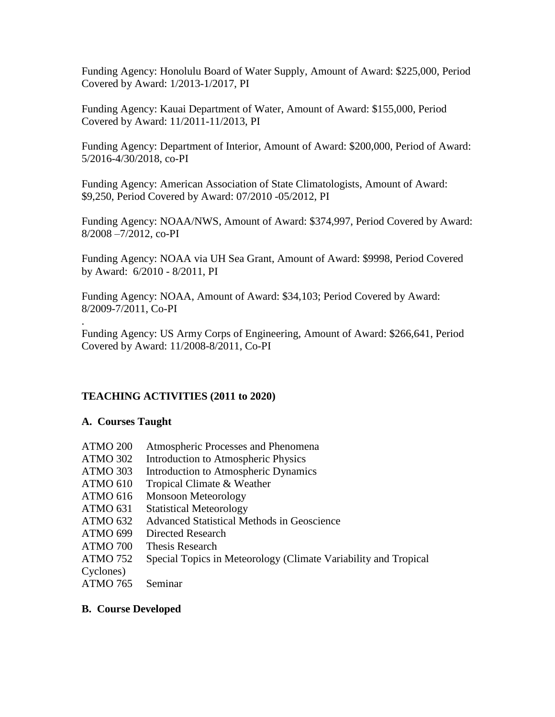Funding Agency: Honolulu Board of Water Supply, Amount of Award: \$225,000, Period Covered by Award: 1/2013-1/2017, PI

Funding Agency: Kauai Department of Water, Amount of Award: \$155,000, Period Covered by Award: 11/2011-11/2013, PI

Funding Agency: Department of Interior, Amount of Award: \$200,000, Period of Award: 5/2016-4/30/2018, co-PI

Funding Agency: American Association of State Climatologists, Amount of Award: \$9,250, Period Covered by Award: 07/2010 -05/2012, PI

Funding Agency: NOAA/NWS, Amount of Award: \$374,997, Period Covered by Award: 8/2008 –7/2012, co-PI

Funding Agency: NOAA via UH Sea Grant, Amount of Award: \$9998, Period Covered by Award: 6/2010 - 8/2011, PI

Funding Agency: NOAA, Amount of Award: \$34,103; Period Covered by Award: 8/2009-7/2011, Co-PI

. Funding Agency: US Army Corps of Engineering, Amount of Award: \$266,641, Period Covered by Award: 11/2008-8/2011, Co-PI

## **TEACHING ACTIVITIES (2011 to 2020)**

### **A. Courses Taught**

- ATMO 200 Atmospheric Processes and Phenomena ATMO 302 Introduction to Atmospheric Physics
- ATMO 303 Introduction to Atmospheric Dynamics
- ATMO 610 Tropical Climate & Weather
- ATMO 616 Monsoon Meteorology
- ATMO 631 Statistical Meteorology
- ATMO 632 Advanced Statistical Methods in Geoscience
- ATMO 699 Directed Research
- ATMO 700 Thesis Research
- ATMO 752 Special Topics in Meteorology (Climate Variability and Tropical
- Cyclones)
- ATMO 765 Seminar

### **B. Course Developed**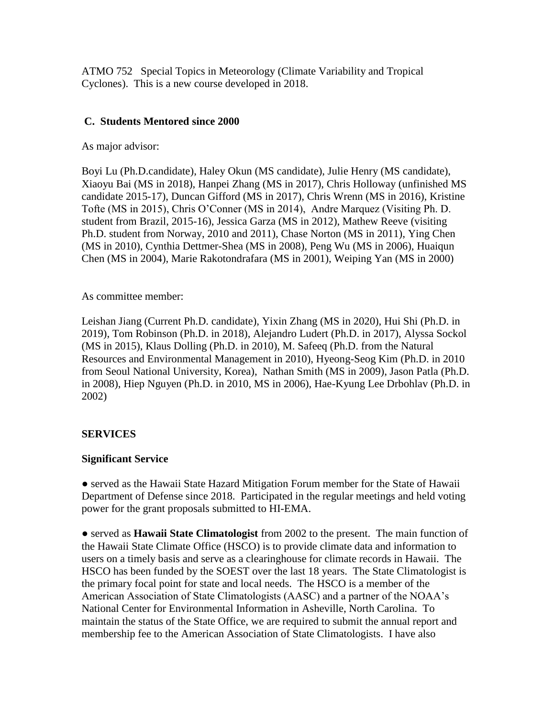ATMO 752 Special Topics in Meteorology (Climate Variability and Tropical Cyclones). This is a new course developed in 2018.

## **C. Students Mentored since 2000**

As major advisor:

Boyi Lu (Ph.D.candidate), Haley Okun (MS candidate), Julie Henry (MS candidate), Xiaoyu Bai (MS in 2018), Hanpei Zhang (MS in 2017), Chris Holloway (unfinished MS candidate 2015-17), Duncan Gifford (MS in 2017), Chris Wrenn (MS in 2016), Kristine Tofte (MS in 2015), Chris O'Conner (MS in 2014), Andre Marquez (Visiting Ph. D. student from Brazil, 2015-16), Jessica Garza (MS in 2012), Mathew Reeve (visiting Ph.D. student from Norway, 2010 and 2011), Chase Norton (MS in 2011), Ying Chen (MS in 2010), Cynthia Dettmer-Shea (MS in 2008), Peng Wu (MS in 2006), Huaiqun Chen (MS in 2004), Marie Rakotondrafara (MS in 2001), Weiping Yan (MS in 2000)

As committee member:

Leishan Jiang (Current Ph.D. candidate), Yixin Zhang (MS in 2020), Hui Shi (Ph.D. in 2019), Tom Robinson (Ph.D. in 2018), Alejandro Ludert (Ph.D. in 2017), Alyssa Sockol (MS in 2015), Klaus Dolling (Ph.D. in 2010), M. Safeeq (Ph.D. from the Natural Resources and Environmental Management in 2010), Hyeong-Seog Kim (Ph.D. in 2010 from Seoul National University, Korea), Nathan Smith (MS in 2009), Jason Patla (Ph.D. in 2008), Hiep Nguyen (Ph.D. in 2010, MS in 2006), Hae-Kyung Lee Drbohlav (Ph.D. in 2002)

## **SERVICES**

### **Significant Service**

**●** served as the Hawaii State Hazard Mitigation Forum member for the State of Hawaii Department of Defense since 2018. Participated in the regular meetings and held voting power for the grant proposals submitted to HI-EMA.

**●** served as **Hawaii State Climatologist** from 2002 to the present. The main function of the Hawaii State Climate Office (HSCO) is to provide climate data and information to users on a timely basis and serve as a clearinghouse for climate records in Hawaii. The HSCO has been funded by the SOEST over the last 18 years. The State Climatologist is the primary focal point for state and local needs. The HSCO is a member of the American Association of State Climatologists (AASC) and a partner of the NOAA's National Center for Environmental Information in Asheville, North Carolina. To maintain the status of the State Office, we are required to submit the annual report and membership fee to the American Association of State Climatologists. I have also